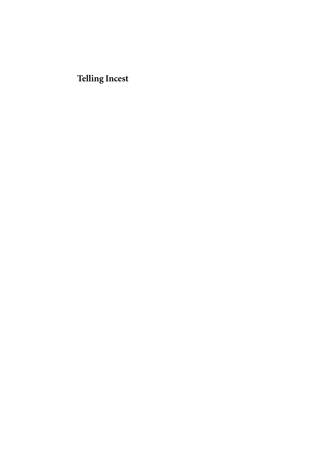**Telling Incest**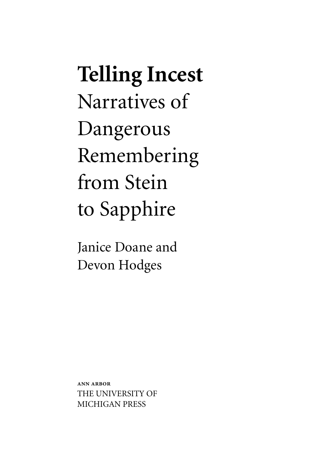**Telling Incest** Narratives of Dangerous Remembering from Stein to Sapphire

Janice Doane and Devon Hodges

**ANN ARBOR** THE UNIVERSITY OF **MICHIGAN PRESS**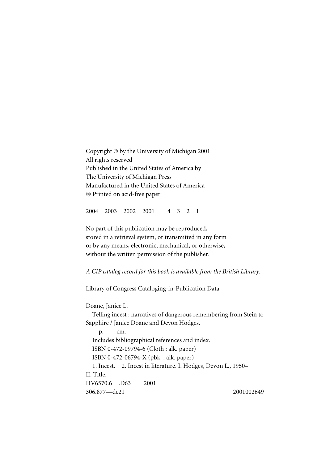Copyright © by the University of Michigan 2001 All rights reserved Published in the United States of America by The University of Michigan Press Manufactured in the United States of America  $\circledcirc$  Printed on acid-free paper

2004 2003 2002 2001 4321

No part of this publication may be reproduced, stored in a retrieval system, or transmitted in any form or by any means, electronic, mechanical, or otherwise, without the written permission of the publisher.

*A CIP catalog record for this book is available from the British Library.*

Library of Congress Cataloging-in-Publication Data

Doane, Janice L.

Telling incest : narratives of dangerous remembering from Stein to Sapphire / Janice Doane and Devon Hodges.

p. cm. Includes bibliographical references and index. ISBN 0-472-09794-6 (Cloth : alk. paper) ISBN 0-472-06794-X (pbk. : alk. paper) 1. Incest. 2. Incest in literature. I. Hodges, Devon L., 1950– II. Title. HV6570.6 .D63 2001 306.877—dc21 2001002649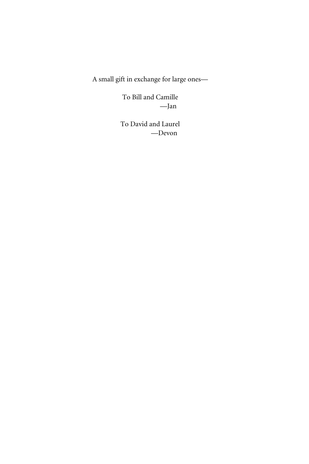A small gift in exchange for large ones—

To Bill and Camille —Jan

To David and Laurel —Devon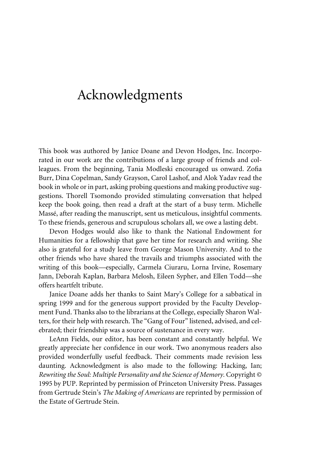## Acknowledgments

This book was authored by Janice Doane and Devon Hodges, Inc. Incorporated in our work are the contributions of a large group of friends and colleagues. From the beginning, Tania Modleski encouraged us onward. Zofia Burr, Dina Copelman, Sandy Grayson, Carol Lashof, and Alok Yadav read the book in whole or in part, asking probing questions and making productive suggestions. Thorell Tsomondo provided stimulating conversation that helped keep the book going, then read a draft at the start of a busy term. Michelle Massé, after reading the manuscript, sent us meticulous, insightful comments. To these friends, generous and scrupulous scholars all, we owe a lasting debt.

Devon Hodges would also like to thank the National Endowment for Humanities for a fellowship that gave her time for research and writing. She also is grateful for a study leave from George Mason University. And to the other friends who have shared the travails and triumphs associated with the writing of this book—especially, Carmela Ciuraru, Lorna Irvine, Rosemary Jann, Deborah Kaplan, Barbara Melosh, Eileen Sypher, and Ellen Todd—she offers heartfelt tribute.

Janice Doane adds her thanks to Saint Mary's College for a sabbatical in spring 1999 and for the generous support provided by the Faculty Development Fund. Thanks also to the librarians at the College, especially Sharon Walters, for their help with research. The "Gang of Four" listened, advised, and celebrated; their friendship was a source of sustenance in every way.

LeAnn Fields, our editor, has been constant and constantly helpful. We greatly appreciate her confidence in our work. Two anonymous readers also provided wonderfully useful feedback. Their comments made revision less daunting. Acknowledgment is also made to the following: Hacking, Ian; *Rewriting the Soul: Multiple Personality and the Science of Memory.* Copyright © 1995 by PUP. Reprinted by permission of Princeton University Press. Passages from Gertrude Stein's *The Making of Americans* are reprinted by permission of the Estate of Gertrude Stein.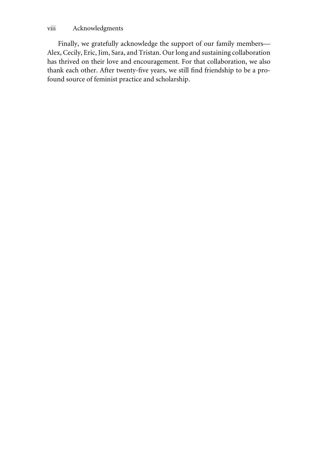## viii Acknowledgments

Finally, we gratefully acknowledge the support of our family members— Alex, Cecily, Eric, Jim, Sara, and Tristan. Our long and sustaining collaboration has thrived on their love and encouragement. For that collaboration, we also thank each other. After twenty-five years, we still find friendship to be a profound source of feminist practice and scholarship.